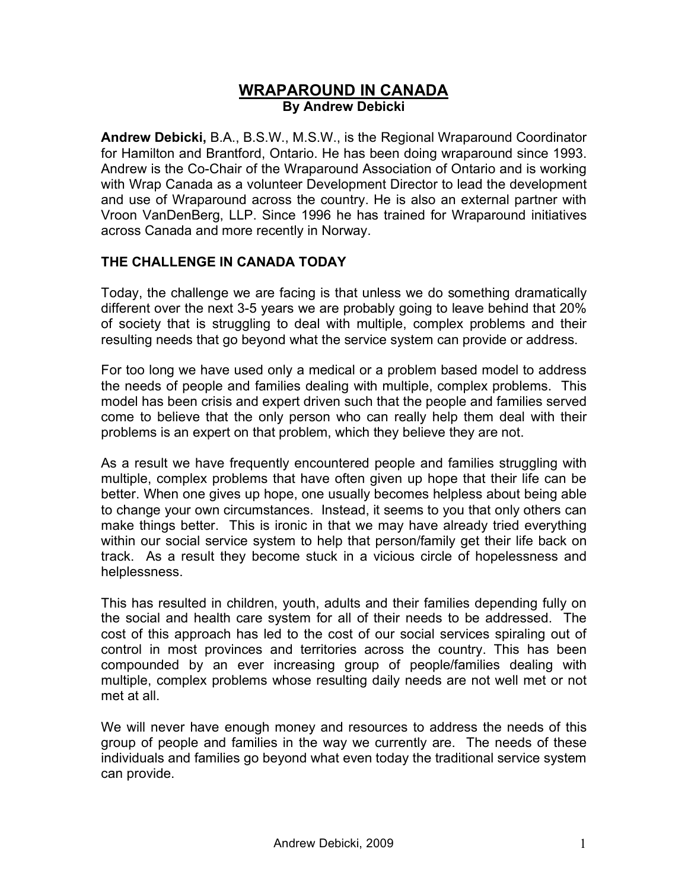# **WRAPAROUND IN CANADA By Andrew Debicki**

**Andrew Debicki,** B.A., B.S.W., M.S.W., is the Regional Wraparound Coordinator for Hamilton and Brantford, Ontario. He has been doing wraparound since 1993. Andrew is the Co-Chair of the Wraparound Association of Ontario and is working with Wrap Canada as a volunteer Development Director to lead the development and use of Wraparound across the country. He is also an external partner with Vroon VanDenBerg, LLP. Since 1996 he has trained for Wraparound initiatives across Canada and more recently in Norway.

### **THE CHALLENGE IN CANADA TODAY**

Today, the challenge we are facing is that unless we do something dramatically different over the next 3-5 years we are probably going to leave behind that 20% of society that is struggling to deal with multiple, complex problems and their resulting needs that go beyond what the service system can provide or address.

For too long we have used only a medical or a problem based model to address the needs of people and families dealing with multiple, complex problems. This model has been crisis and expert driven such that the people and families served come to believe that the only person who can really help them deal with their problems is an expert on that problem, which they believe they are not.

As a result we have frequently encountered people and families struggling with multiple, complex problems that have often given up hope that their life can be better. When one gives up hope, one usually becomes helpless about being able to change your own circumstances. Instead, it seems to you that only others can make things better. This is ironic in that we may have already tried everything within our social service system to help that person/family get their life back on track. As a result they become stuck in a vicious circle of hopelessness and helplessness.

This has resulted in children, youth, adults and their families depending fully on the social and health care system for all of their needs to be addressed. The cost of this approach has led to the cost of our social services spiraling out of control in most provinces and territories across the country. This has been compounded by an ever increasing group of people/families dealing with multiple, complex problems whose resulting daily needs are not well met or not met at all.

We will never have enough money and resources to address the needs of this group of people and families in the way we currently are. The needs of these individuals and families go beyond what even today the traditional service system can provide.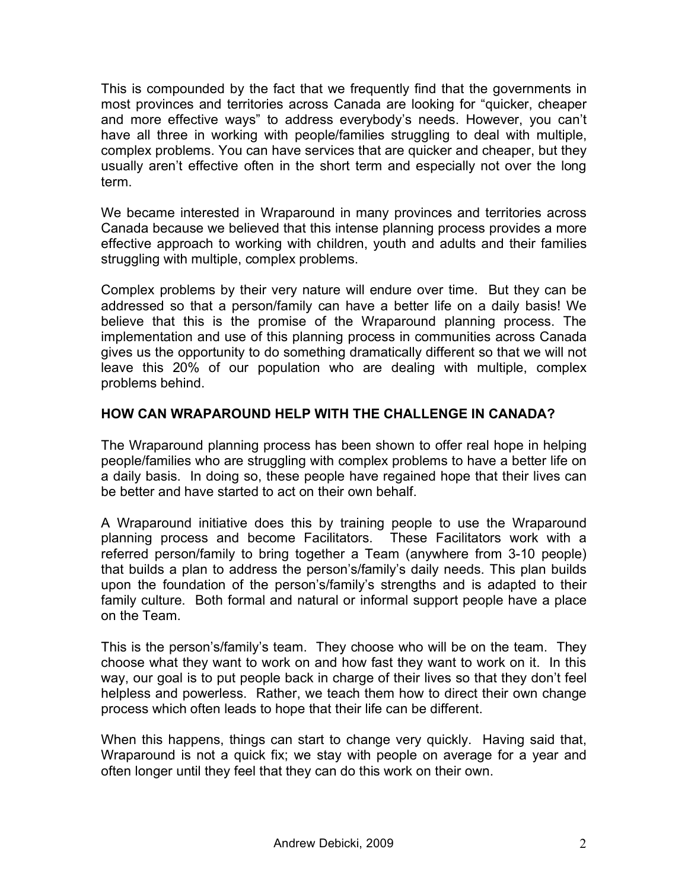This is compounded by the fact that we frequently find that the governments in most provinces and territories across Canada are looking for "quicker, cheaper and more effective ways" to address everybody's needs. However, you can't have all three in working with people/families struggling to deal with multiple, complex problems. You can have services that are quicker and cheaper, but they usually aren't effective often in the short term and especially not over the long term.

We became interested in Wraparound in many provinces and territories across Canada because we believed that this intense planning process provides a more effective approach to working with children, youth and adults and their families struggling with multiple, complex problems.

Complex problems by their very nature will endure over time. But they can be addressed so that a person/family can have a better life on a daily basis! We believe that this is the promise of the Wraparound planning process. The implementation and use of this planning process in communities across Canada gives us the opportunity to do something dramatically different so that we will not leave this 20% of our population who are dealing with multiple, complex problems behind.

# **HOW CAN WRAPAROUND HELP WITH THE CHALLENGE IN CANADA?**

The Wraparound planning process has been shown to offer real hope in helping people/families who are struggling with complex problems to have a better life on a daily basis. In doing so, these people have regained hope that their lives can be better and have started to act on their own behalf.

A Wraparound initiative does this by training people to use the Wraparound planning process and become Facilitators. These Facilitators work with a referred person/family to bring together a Team (anywhere from 3-10 people) that builds a plan to address the person's/family's daily needs. This plan builds upon the foundation of the person's/family's strengths and is adapted to their family culture. Both formal and natural or informal support people have a place on the Team.

This is the person's/family's team. They choose who will be on the team. They choose what they want to work on and how fast they want to work on it. In this way, our goal is to put people back in charge of their lives so that they don't feel helpless and powerless. Rather, we teach them how to direct their own change process which often leads to hope that their life can be different.

When this happens, things can start to change very quickly. Having said that, Wraparound is not a quick fix; we stay with people on average for a year and often longer until they feel that they can do this work on their own.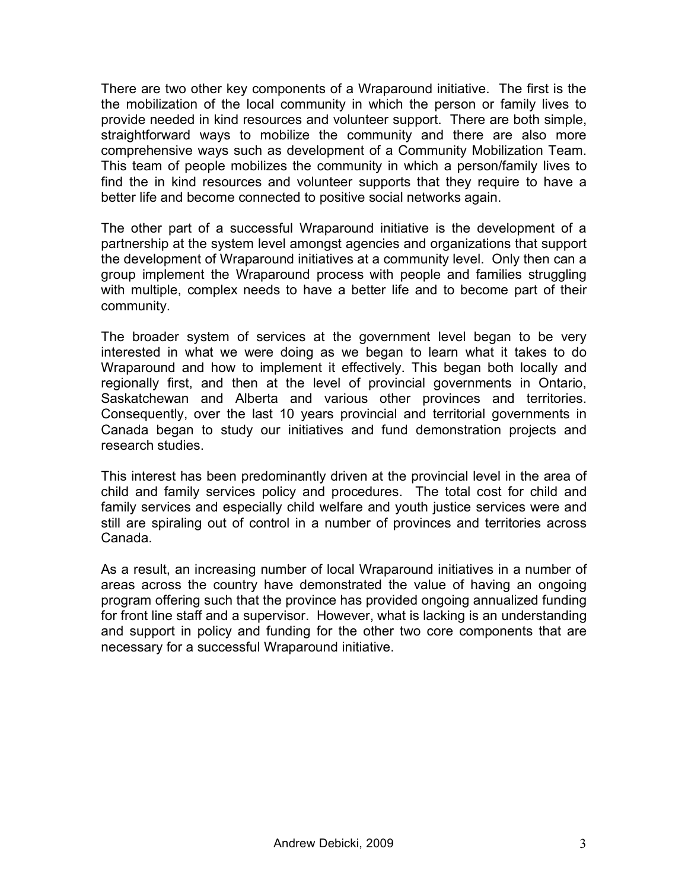There are two other key components of a Wraparound initiative. The first is the the mobilization of the local community in which the person or family lives to provide needed in kind resources and volunteer support. There are both simple, straightforward ways to mobilize the community and there are also more comprehensive ways such as development of a Community Mobilization Team. This team of people mobilizes the community in which a person/family lives to find the in kind resources and volunteer supports that they require to have a better life and become connected to positive social networks again.

The other part of a successful Wraparound initiative is the development of a partnership at the system level amongst agencies and organizations that support the development of Wraparound initiatives at a community level. Only then can a group implement the Wraparound process with people and families struggling with multiple, complex needs to have a better life and to become part of their community.

The broader system of services at the government level began to be very interested in what we were doing as we began to learn what it takes to do Wraparound and how to implement it effectively. This began both locally and regionally first, and then at the level of provincial governments in Ontario, Saskatchewan and Alberta and various other provinces and territories. Consequently, over the last 10 years provincial and territorial governments in Canada began to study our initiatives and fund demonstration projects and research studies.

This interest has been predominantly driven at the provincial level in the area of child and family services policy and procedures. The total cost for child and family services and especially child welfare and youth justice services were and still are spiraling out of control in a number of provinces and territories across Canada.

As a result, an increasing number of local Wraparound initiatives in a number of areas across the country have demonstrated the value of having an ongoing program offering such that the province has provided ongoing annualized funding for front line staff and a supervisor. However, what is lacking is an understanding and support in policy and funding for the other two core components that are necessary for a successful Wraparound initiative.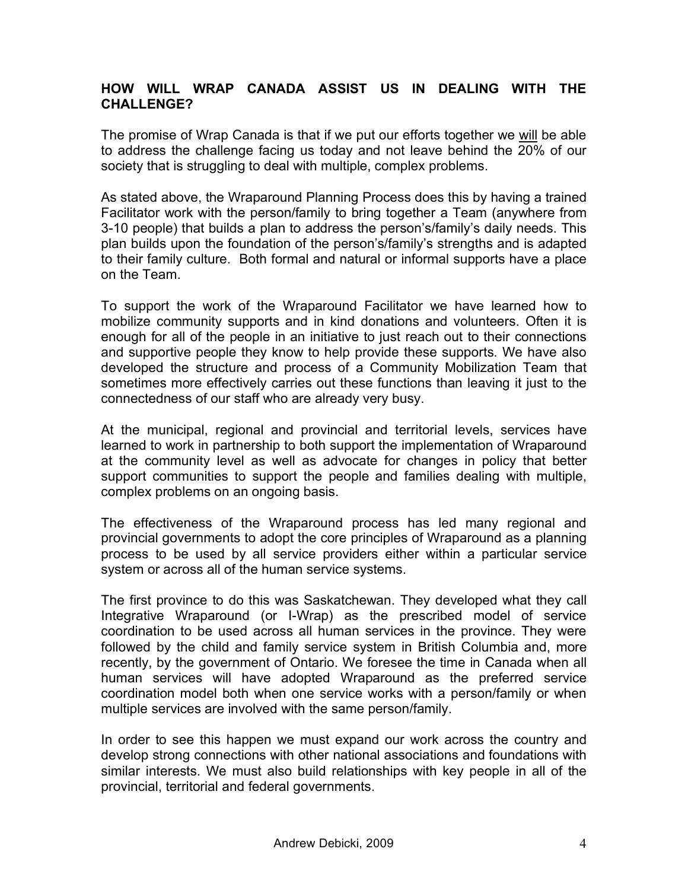### **HOW WILL WRAP CANADA ASSIST US IN DEALING WITH THE CHALLENGE?**

The promise of Wrap Canada is that if we put our efforts together we will be able to address the challenge facing us today and not leave behind the 20% of our society that is struggling to deal with multiple, complex problems.

As stated above, the Wraparound Planning Process does this by having a trained Facilitator work with the person/family to bring together a Team (anywhere from 3-10 people) that builds a plan to address the person's/family's daily needs. This plan builds upon the foundation of the person's/family's strengths and is adapted to their family culture. Both formal and natural or informal supports have a place on the Team.

To support the work of the Wraparound Facilitator we have learned how to mobilize community supports and in kind donations and volunteers. Often it is enough for all of the people in an initiative to just reach out to their connections and supportive people they know to help provide these supports. We have also developed the structure and process of a Community Mobilization Team that sometimes more effectively carries out these functions than leaving it just to the connectedness of our staff who are already very busy.

At the municipal, regional and provincial and territorial levels, services have learned to work in partnership to both support the implementation of Wraparound at the community level as well as advocate for changes in policy that better support communities to support the people and families dealing with multiple, complex problems on an ongoing basis.

The effectiveness of the Wraparound process has led many regional and provincial governments to adopt the core principles of Wraparound as a planning process to be used by all service providers either within a particular service system or across all of the human service systems.

The first province to do this was Saskatchewan. They developed what they call Integrative Wraparound (or I-Wrap) as the prescribed model of service coordination to be used across all human services in the province. They were followed by the child and family service system in British Columbia and, more recently, by the government of Ontario. We foresee the time in Canada when all human services will have adopted Wraparound as the preferred service coordination model both when one service works with a person/family or when multiple services are involved with the same person/family.

In order to see this happen we must expand our work across the country and develop strong connections with other national associations and foundations with similar interests. We must also build relationships with key people in all of the provincial, territorial and federal governments.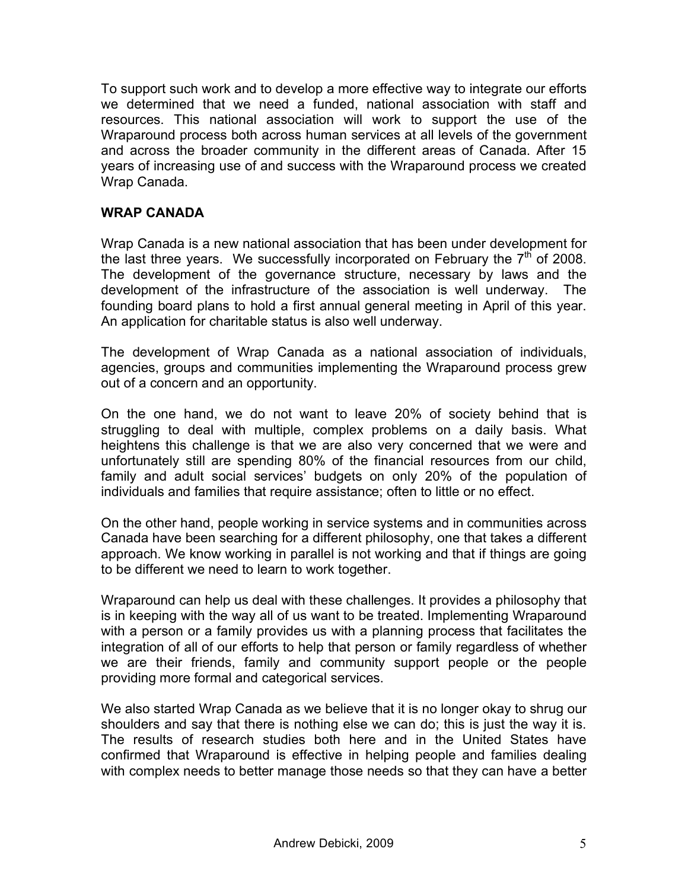To support such work and to develop a more effective way to integrate our efforts we determined that we need a funded, national association with staff and resources. This national association will work to support the use of the Wraparound process both across human services at all levels of the government and across the broader community in the different areas of Canada. After 15 years of increasing use of and success with the Wraparound process we created Wrap Canada.

### **WRAP CANADA**

Wrap Canada is a new national association that has been under development for the last three years. We successfully incorporated on February the  $7<sup>th</sup>$  of 2008. The development of the governance structure, necessary by laws and the development of the infrastructure of the association is well underway. The founding board plans to hold a first annual general meeting in April of this year. An application for charitable status is also well underway.

The development of Wrap Canada as a national association of individuals, agencies, groups and communities implementing the Wraparound process grew out of a concern and an opportunity.

On the one hand, we do not want to leave 20% of society behind that is struggling to deal with multiple, complex problems on a daily basis. What heightens this challenge is that we are also very concerned that we were and unfortunately still are spending 80% of the financial resources from our child, family and adult social services' budgets on only 20% of the population of individuals and families that require assistance; often to little or no effect.

On the other hand, people working in service systems and in communities across Canada have been searching for a different philosophy, one that takes a different approach. We know working in parallel is not working and that if things are going to be different we need to learn to work together.

Wraparound can help us deal with these challenges. It provides a philosophy that is in keeping with the way all of us want to be treated. Implementing Wraparound with a person or a family provides us with a planning process that facilitates the integration of all of our efforts to help that person or family regardless of whether we are their friends, family and community support people or the people providing more formal and categorical services.

We also started Wrap Canada as we believe that it is no longer okay to shrug our shoulders and say that there is nothing else we can do; this is just the way it is. The results of research studies both here and in the United States have confirmed that Wraparound is effective in helping people and families dealing with complex needs to better manage those needs so that they can have a better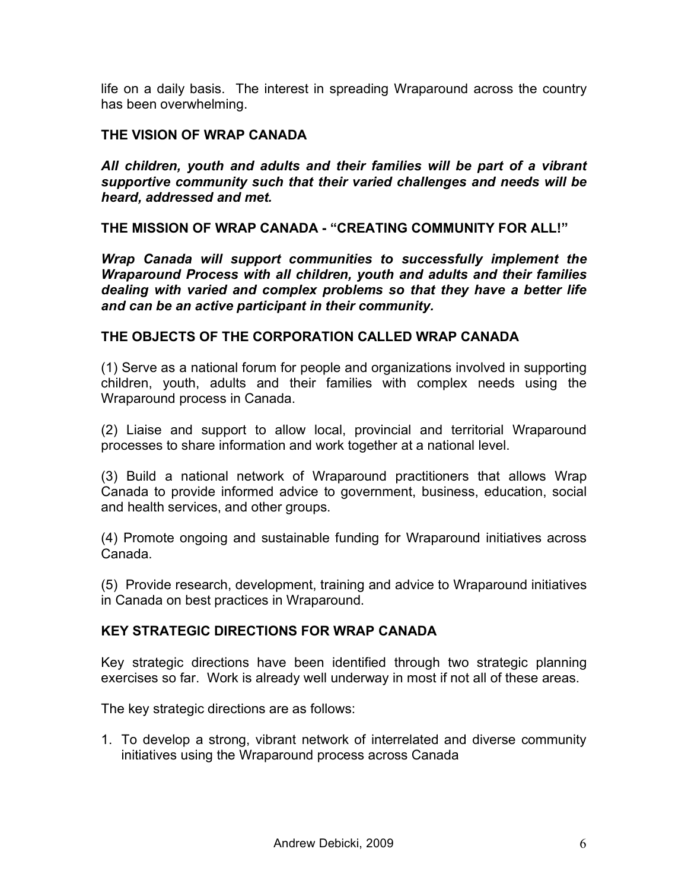life on a daily basis. The interest in spreading Wraparound across the country has been overwhelming.

# **THE VISION OF WRAP CANADA**

*All children, youth and adults and their families will be part of a vibrant supportive community such that their varied challenges and needs will be heard, addressed and met.*

**THE MISSION OF WRAP CANADA - "CREATING COMMUNITY FOR ALL!"**

*Wrap Canada will support communities to successfully implement the Wraparound Process with all children, youth and adults and their families dealing with varied and complex problems so that they have a better life and can be an active participant in their community.*

#### **THE OBJECTS OF THE CORPORATION CALLED WRAP CANADA**

(1) Serve as a national forum for people and organizations involved in supporting children, youth, adults and their families with complex needs using the Wraparound process in Canada.

(2) Liaise and support to allow local, provincial and territorial Wraparound processes to share information and work together at a national level.

(3) Build a national network of Wraparound practitioners that allows Wrap Canada to provide informed advice to government, business, education, social and health services, and other groups.

(4) Promote ongoing and sustainable funding for Wraparound initiatives across Canada.

(5) Provide research, development, training and advice to Wraparound initiatives in Canada on best practices in Wraparound.

### **KEY STRATEGIC DIRECTIONS FOR WRAP CANADA**

Key strategic directions have been identified through two strategic planning exercises so far. Work is already well underway in most if not all of these areas.

The key strategic directions are as follows:

1. To develop a strong, vibrant network of interrelated and diverse community initiatives using the Wraparound process across Canada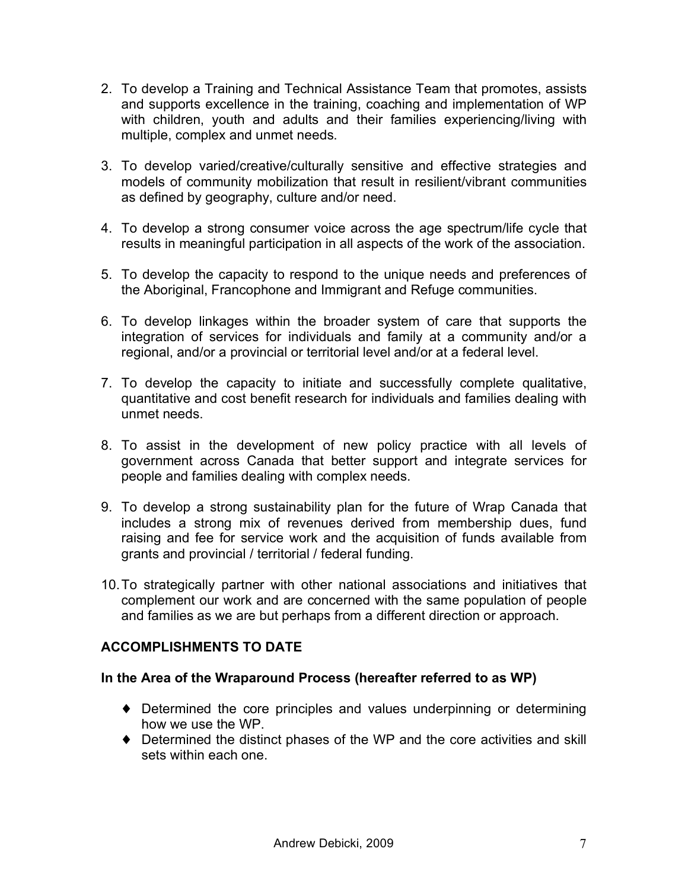- 2. To develop a Training and Technical Assistance Team that promotes, assists and supports excellence in the training, coaching and implementation of WP with children, youth and adults and their families experiencing/living with multiple, complex and unmet needs.
- 3. To develop varied/creative/culturally sensitive and effective strategies and models of community mobilization that result in resilient/vibrant communities as defined by geography, culture and/or need.
- 4. To develop a strong consumer voice across the age spectrum/life cycle that results in meaningful participation in all aspects of the work of the association.
- 5. To develop the capacity to respond to the unique needs and preferences of the Aboriginal, Francophone and Immigrant and Refuge communities.
- 6. To develop linkages within the broader system of care that supports the integration of services for individuals and family at a community and/or a regional, and/or a provincial or territorial level and/or at a federal level.
- 7. To develop the capacity to initiate and successfully complete qualitative, quantitative and cost benefit research for individuals and families dealing with unmet needs.
- 8. To assist in the development of new policy practice with all levels of government across Canada that better support and integrate services for people and families dealing with complex needs.
- 9. To develop a strong sustainability plan for the future of Wrap Canada that includes a strong mix of revenues derived from membership dues, fund raising and fee for service work and the acquisition of funds available from grants and provincial / territorial / federal funding.
- 10.To strategically partner with other national associations and initiatives that complement our work and are concerned with the same population of people and families as we are but perhaps from a different direction or approach.

# **ACCOMPLISHMENTS TO DATE**

### **In the Area of the Wraparound Process (hereafter referred to as WP)**

- ♦ Determined the core principles and values underpinning or determining how we use the WP.
- ♦ Determined the distinct phases of the WP and the core activities and skill sets within each one.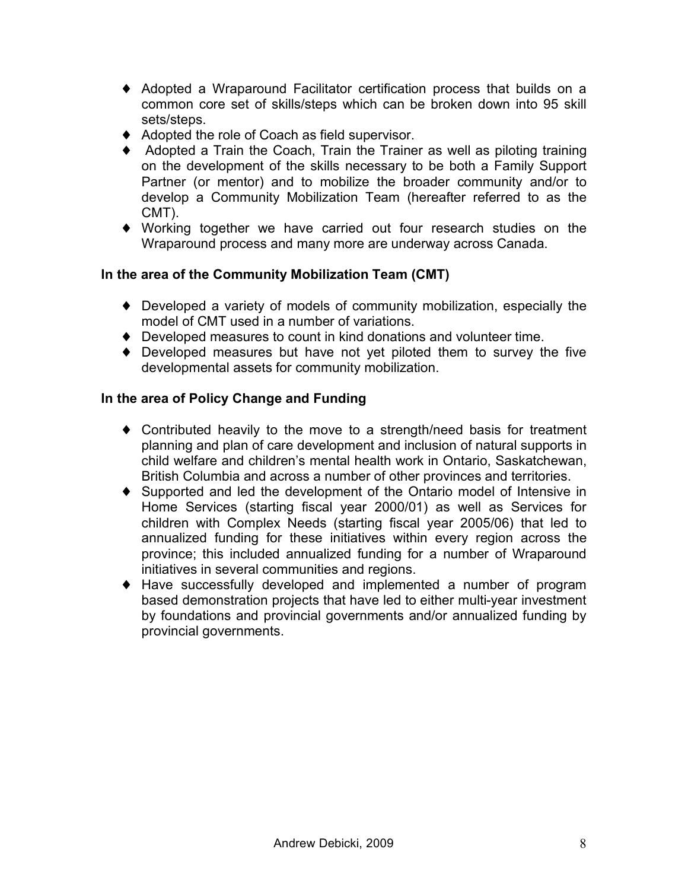- ♦ Adopted a Wraparound Facilitator certification process that builds on a common core set of skills/steps which can be broken down into 95 skill sets/steps.
- ♦ Adopted the role of Coach as field supervisor.
- ♦ Adopted a Train the Coach, Train the Trainer as well as piloting training on the development of the skills necessary to be both a Family Support Partner (or mentor) and to mobilize the broader community and/or to develop a Community Mobilization Team (hereafter referred to as the CMT).
- ♦ Working together we have carried out four research studies on the Wraparound process and many more are underway across Canada.

# **In the area of the Community Mobilization Team (CMT)**

- ♦ Developed a variety of models of community mobilization, especially the model of CMT used in a number of variations.
- ♦ Developed measures to count in kind donations and volunteer time.
- ♦ Developed measures but have not yet piloted them to survey the five developmental assets for community mobilization.

# **In the area of Policy Change and Funding**

- ♦ Contributed heavily to the move to a strength/need basis for treatment planning and plan of care development and inclusion of natural supports in child welfare and children's mental health work in Ontario, Saskatchewan, British Columbia and across a number of other provinces and territories.
- ♦ Supported and led the development of the Ontario model of Intensive in Home Services (starting fiscal year 2000/01) as well as Services for children with Complex Needs (starting fiscal year 2005/06) that led to annualized funding for these initiatives within every region across the province; this included annualized funding for a number of Wraparound initiatives in several communities and regions.
- ♦ Have successfully developed and implemented a number of program based demonstration projects that have led to either multi-year investment by foundations and provincial governments and/or annualized funding by provincial governments.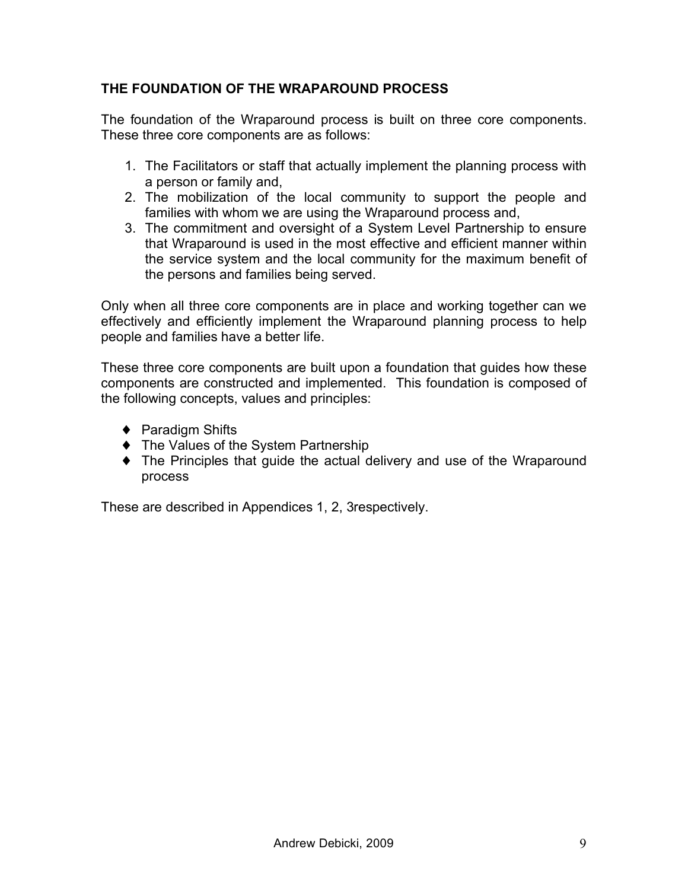# **THE FOUNDATION OF THE WRAPAROUND PROCESS**

The foundation of the Wraparound process is built on three core components. These three core components are as follows:

- 1. The Facilitators or staff that actually implement the planning process with a person or family and,
- 2. The mobilization of the local community to support the people and families with whom we are using the Wraparound process and,
- 3. The commitment and oversight of a System Level Partnership to ensure that Wraparound is used in the most effective and efficient manner within the service system and the local community for the maximum benefit of the persons and families being served.

Only when all three core components are in place and working together can we effectively and efficiently implement the Wraparound planning process to help people and families have a better life.

These three core components are built upon a foundation that guides how these components are constructed and implemented. This foundation is composed of the following concepts, values and principles:

- ◆ Paradigm Shifts
- ♦ The Values of the System Partnership
- ♦ The Principles that guide the actual delivery and use of the Wraparound process

These are described in Appendices 1, 2, 3respectively.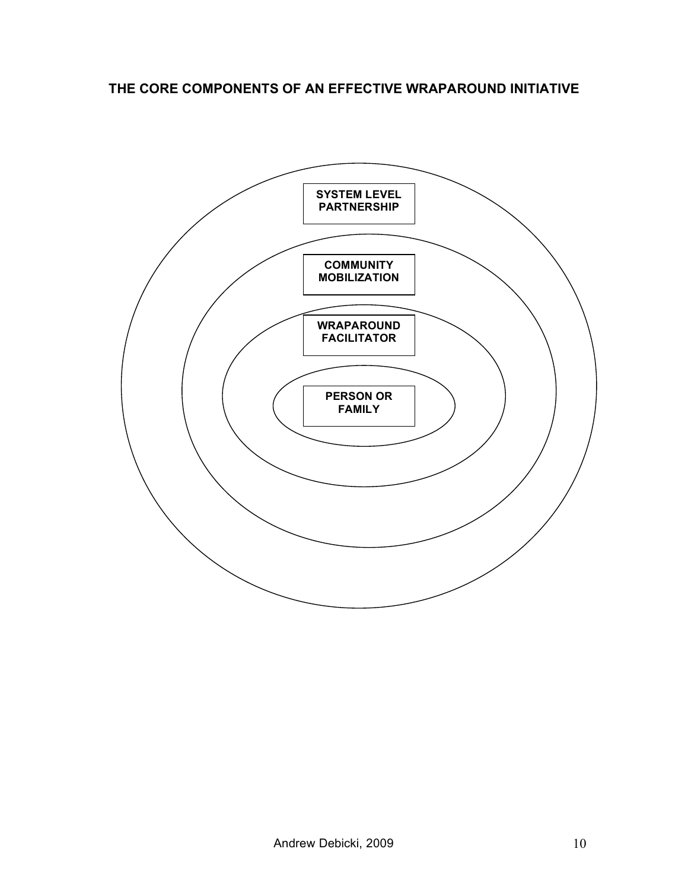# **THE CORE COMPONENTS OF AN EFFECTIVE WRAPAROUND INITIATIVE**

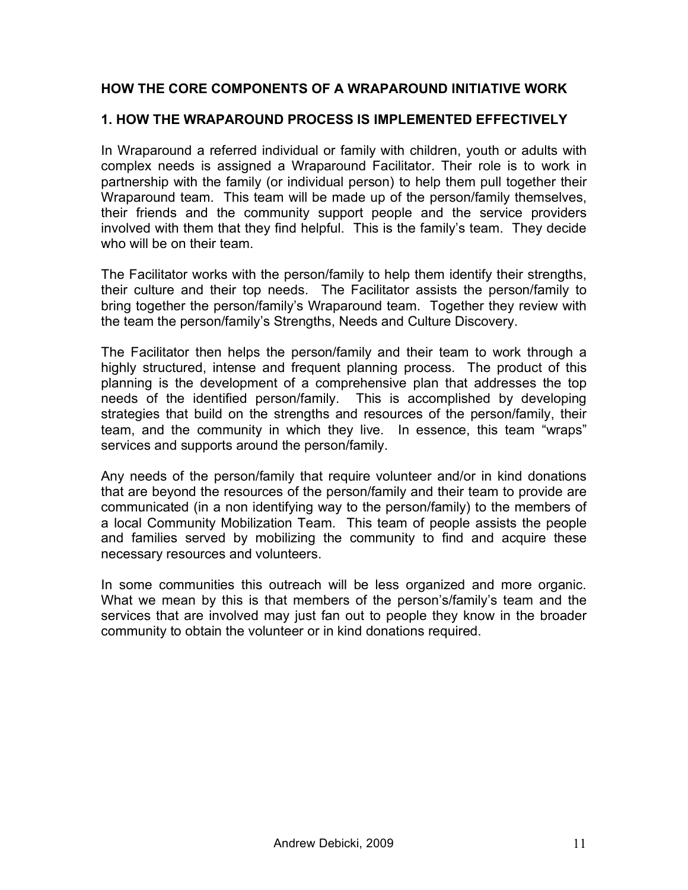# **HOW THE CORE COMPONENTS OF A WRAPAROUND INITIATIVE WORK**

### **1. HOW THE WRAPAROUND PROCESS IS IMPLEMENTED EFFECTIVELY**

In Wraparound a referred individual or family with children, youth or adults with complex needs is assigned a Wraparound Facilitator. Their role is to work in partnership with the family (or individual person) to help them pull together their Wraparound team. This team will be made up of the person/family themselves, their friends and the community support people and the service providers involved with them that they find helpful. This is the family's team. They decide who will be on their team.

The Facilitator works with the person/family to help them identify their strengths, their culture and their top needs. The Facilitator assists the person/family to bring together the person/family's Wraparound team. Together they review with the team the person/family's Strengths, Needs and Culture Discovery.

The Facilitator then helps the person/family and their team to work through a highly structured, intense and frequent planning process. The product of this planning is the development of a comprehensive plan that addresses the top needs of the identified person/family. This is accomplished by developing strategies that build on the strengths and resources of the person/family, their team, and the community in which they live. In essence, this team "wraps" services and supports around the person/family.

Any needs of the person/family that require volunteer and/or in kind donations that are beyond the resources of the person/family and their team to provide are communicated (in a non identifying way to the person/family) to the members of a local Community Mobilization Team. This team of people assists the people and families served by mobilizing the community to find and acquire these necessary resources and volunteers.

In some communities this outreach will be less organized and more organic. What we mean by this is that members of the person's/family's team and the services that are involved may just fan out to people they know in the broader community to obtain the volunteer or in kind donations required.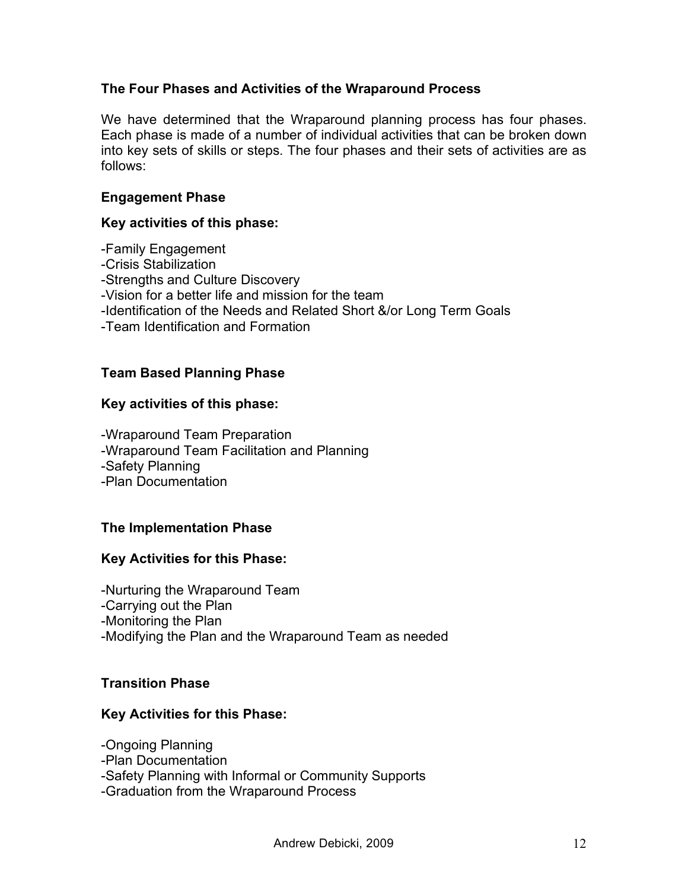### **The Four Phases and Activities of the Wraparound Process**

We have determined that the Wraparound planning process has four phases. Each phase is made of a number of individual activities that can be broken down into key sets of skills or steps. The four phases and their sets of activities are as follows:

#### **Engagement Phase**

#### **Key activities of this phase:**

-Family Engagement -Crisis Stabilization -Strengths and Culture Discovery -Vision for a better life and mission for the team -Identification of the Needs and Related Short &/or Long Term Goals -Team Identification and Formation

### **Team Based Planning Phase**

#### **Key activities of this phase:**

-Wraparound Team Preparation -Wraparound Team Facilitation and Planning -Safety Planning -Plan Documentation

### **The Implementation Phase**

### **Key Activities for this Phase:**

-Nurturing the Wraparound Team -Carrying out the Plan -Monitoring the Plan -Modifying the Plan and the Wraparound Team as needed

#### **Transition Phase**

#### **Key Activities for this Phase:**

-Ongoing Planning

- -Plan Documentation
- -Safety Planning with Informal or Community Supports

-Graduation from the Wraparound Process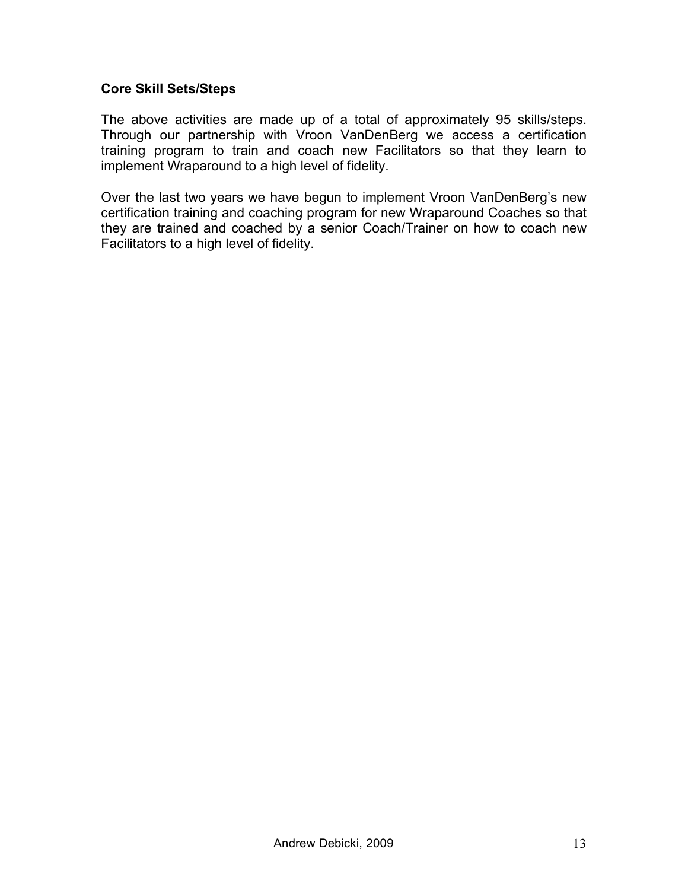#### **Core Skill Sets/Steps**

The above activities are made up of a total of approximately 95 skills/steps. Through our partnership with Vroon VanDenBerg we access a certification training program to train and coach new Facilitators so that they learn to implement Wraparound to a high level of fidelity.

Over the last two years we have begun to implement Vroon VanDenBerg's new certification training and coaching program for new Wraparound Coaches so that they are trained and coached by a senior Coach/Trainer on how to coach new Facilitators to a high level of fidelity.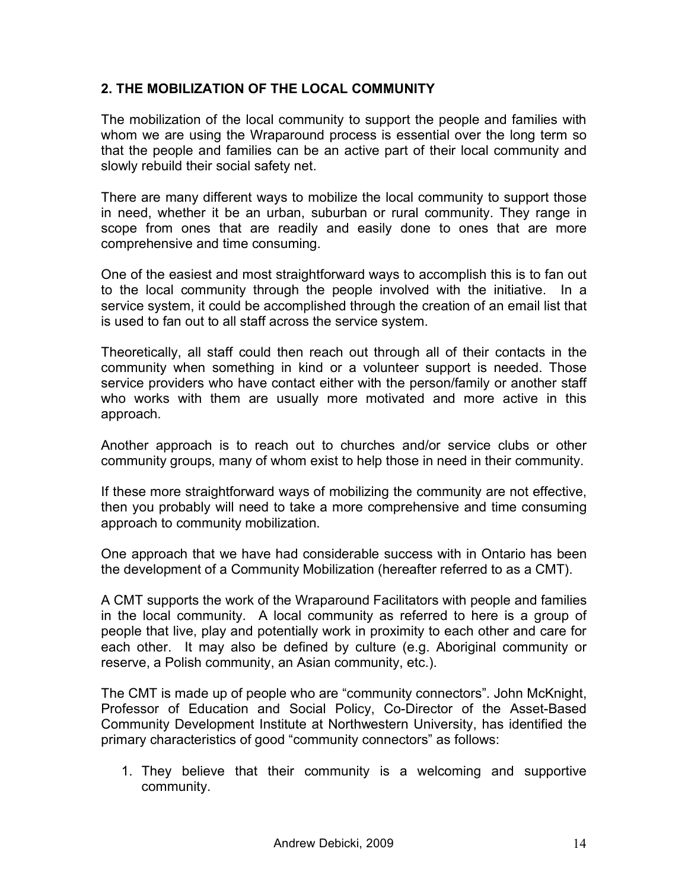# **2. THE MOBILIZATION OF THE LOCAL COMMUNITY**

The mobilization of the local community to support the people and families with whom we are using the Wraparound process is essential over the long term so that the people and families can be an active part of their local community and slowly rebuild their social safety net.

There are many different ways to mobilize the local community to support those in need, whether it be an urban, suburban or rural community. They range in scope from ones that are readily and easily done to ones that are more comprehensive and time consuming.

One of the easiest and most straightforward ways to accomplish this is to fan out to the local community through the people involved with the initiative. In a service system, it could be accomplished through the creation of an email list that is used to fan out to all staff across the service system.

Theoretically, all staff could then reach out through all of their contacts in the community when something in kind or a volunteer support is needed. Those service providers who have contact either with the person/family or another staff who works with them are usually more motivated and more active in this approach.

Another approach is to reach out to churches and/or service clubs or other community groups, many of whom exist to help those in need in their community.

If these more straightforward ways of mobilizing the community are not effective, then you probably will need to take a more comprehensive and time consuming approach to community mobilization.

One approach that we have had considerable success with in Ontario has been the development of a Community Mobilization (hereafter referred to as a CMT).

A CMT supports the work of the Wraparound Facilitators with people and families in the local community. A local community as referred to here is a group of people that live, play and potentially work in proximity to each other and care for each other. It may also be defined by culture (e.g. Aboriginal community or reserve, a Polish community, an Asian community, etc.).

The CMT is made up of people who are "community connectors". John McKnight, Professor of Education and Social Policy, Co-Director of the Asset-Based Community Development Institute at Northwestern University, has identified the primary characteristics of good "community connectors" as follows:

1. They believe that their community is a welcoming and supportive community.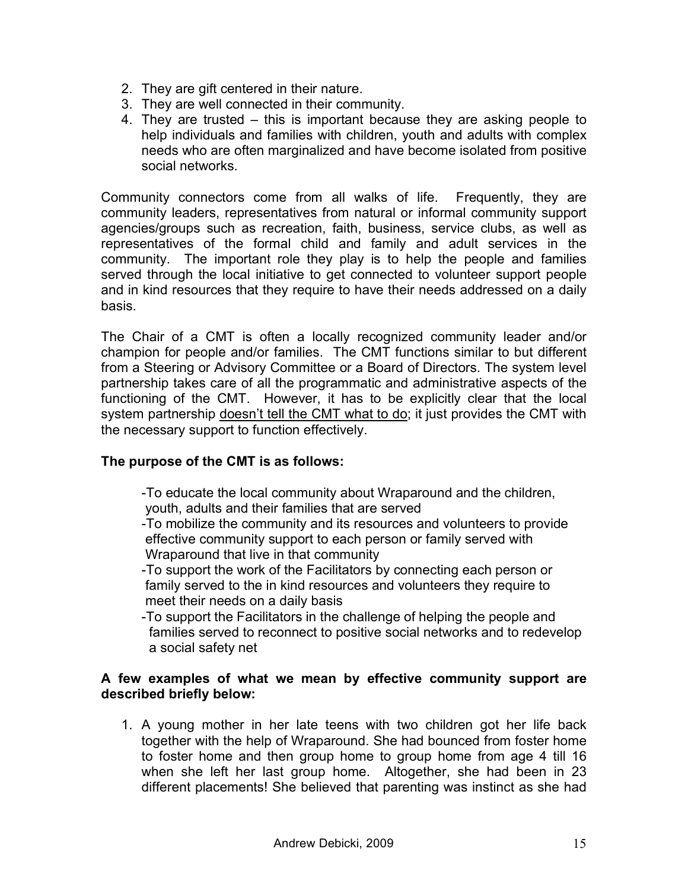- 2. They are gift centered in their nature.
- 3. They are well connected in their community.
- 4. They are trusted this is important because they are asking people to help individuals and families with children, youth and adults with complex needs who are often marginalized and have become isolated from positive social networks.

Community connectors come from all walks of life. Frequently, they are community leaders, representatives from natural or informal community support agencies/groups such as recreation, faith, business, service clubs, as well as representatives of the formal child and family and adult services in the community. The important role they play is to help the people and families served through the local initiative to get connected to volunteer support people and in kind resources that they require to have their needs addressed on a daily basis.

The Chair of a CMT is often a locally recognized community leader and/or champion for people and/or families. The CMT functions similar to but different from a Steering or Advisory Committee or a Board of Directors. The system level partnership takes care of all the programmatic and administrative aspects of the functioning of the CMT. However, it has to be explicitly clear that the local system partnership doesn't tell the CMT what to do; it just provides the CMT with the necessary support to function effectively.

# **The purpose of the CMT is as follows:**

-To educate the local community about Wraparound and the children, youth, adults and their families that are served

-To mobilize the community and its resources and volunteers to provide effective community support to each person or family served with Wraparound that live in that community

-To support the work of the Facilitators by connecting each person or family served to the in kind resources and volunteers they require to meet their needs on a daily basis

-To support the Facilitators in the challenge of helping the people and families served to reconnect to positive social networks and to redevelop a social safety net

### **A few examples of what we mean by effective community support are described briefly below:**

1. A young mother in her late teens with two children got her life back together with the help of Wraparound. She had bounced from foster home to foster home and then group home to group home from age 4 till 16 when she left her last group home. Altogether, she had been in 23 different placements! She believed that parenting was instinct as she had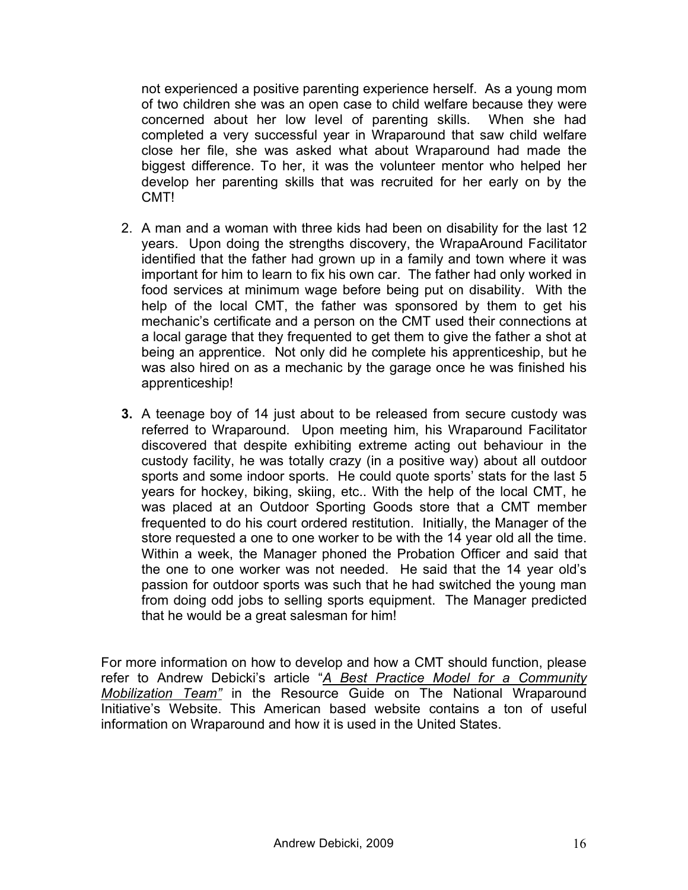not experienced a positive parenting experience herself. As a young mom of two children she was an open case to child welfare because they were concerned about her low level of parenting skills. When she had completed a very successful year in Wraparound that saw child welfare close her file, she was asked what about Wraparound had made the biggest difference. To her, it was the volunteer mentor who helped her develop her parenting skills that was recruited for her early on by the CMT!

- 2. A man and a woman with three kids had been on disability for the last 12 years. Upon doing the strengths discovery, the WrapaAround Facilitator identified that the father had grown up in a family and town where it was important for him to learn to fix his own car. The father had only worked in food services at minimum wage before being put on disability. With the help of the local CMT, the father was sponsored by them to get his mechanic's certificate and a person on the CMT used their connections at a local garage that they frequented to get them to give the father a shot at being an apprentice. Not only did he complete his apprenticeship, but he was also hired on as a mechanic by the garage once he was finished his apprenticeship!
- **3.** A teenage boy of 14 just about to be released from secure custody was referred to Wraparound. Upon meeting him, his Wraparound Facilitator discovered that despite exhibiting extreme acting out behaviour in the custody facility, he was totally crazy (in a positive way) about all outdoor sports and some indoor sports. He could quote sports' stats for the last 5 years for hockey, biking, skiing, etc.. With the help of the local CMT, he was placed at an Outdoor Sporting Goods store that a CMT member frequented to do his court ordered restitution. Initially, the Manager of the store requested a one to one worker to be with the 14 year old all the time. Within a week, the Manager phoned the Probation Officer and said that the one to one worker was not needed. He said that the 14 year old's passion for outdoor sports was such that he had switched the young man from doing odd jobs to selling sports equipment. The Manager predicted that he would be a great salesman for him!

For more information on how to develop and how a CMT should function, please refer to Andrew Debicki's article "*A Best Practice Model for a Community Mobilization Team"* in the Resource Guide on The National Wraparound Initiative's Website. This American based website contains a ton of useful information on Wraparound and how it is used in the United States.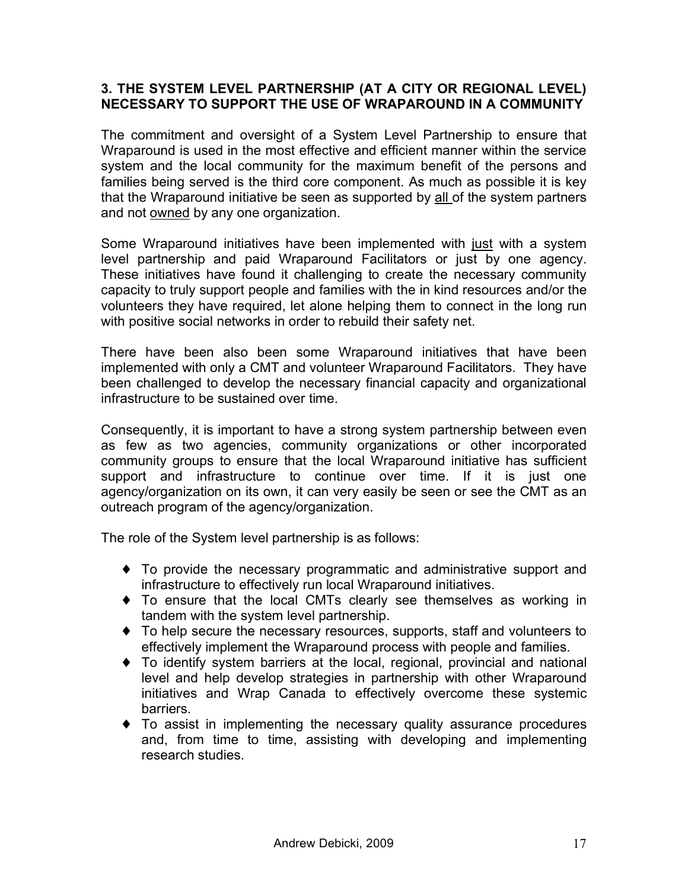### **3. THE SYSTEM LEVEL PARTNERSHIP (AT A CITY OR REGIONAL LEVEL) NECESSARY TO SUPPORT THE USE OF WRAPAROUND IN A COMMUNITY**

The commitment and oversight of a System Level Partnership to ensure that Wraparound is used in the most effective and efficient manner within the service system and the local community for the maximum benefit of the persons and families being served is the third core component. As much as possible it is key that the Wraparound initiative be seen as supported by all of the system partners and not owned by any one organization.

Some Wraparound initiatives have been implemented with just with a system level partnership and paid Wraparound Facilitators or just by one agency. These initiatives have found it challenging to create the necessary community capacity to truly support people and families with the in kind resources and/or the volunteers they have required, let alone helping them to connect in the long run with positive social networks in order to rebuild their safety net.

There have been also been some Wraparound initiatives that have been implemented with only a CMT and volunteer Wraparound Facilitators. They have been challenged to develop the necessary financial capacity and organizational infrastructure to be sustained over time.

Consequently, it is important to have a strong system partnership between even as few as two agencies, community organizations or other incorporated community groups to ensure that the local Wraparound initiative has sufficient support and infrastructure to continue over time. If it is just one agency/organization on its own, it can very easily be seen or see the CMT as an outreach program of the agency/organization.

The role of the System level partnership is as follows:

- ♦ To provide the necessary programmatic and administrative support and infrastructure to effectively run local Wraparound initiatives.
- ♦ To ensure that the local CMTs clearly see themselves as working in tandem with the system level partnership.
- ♦ To help secure the necessary resources, supports, staff and volunteers to effectively implement the Wraparound process with people and families.
- ♦ To identify system barriers at the local, regional, provincial and national level and help develop strategies in partnership with other Wraparound initiatives and Wrap Canada to effectively overcome these systemic barriers.
- ♦ To assist in implementing the necessary quality assurance procedures and, from time to time, assisting with developing and implementing research studies.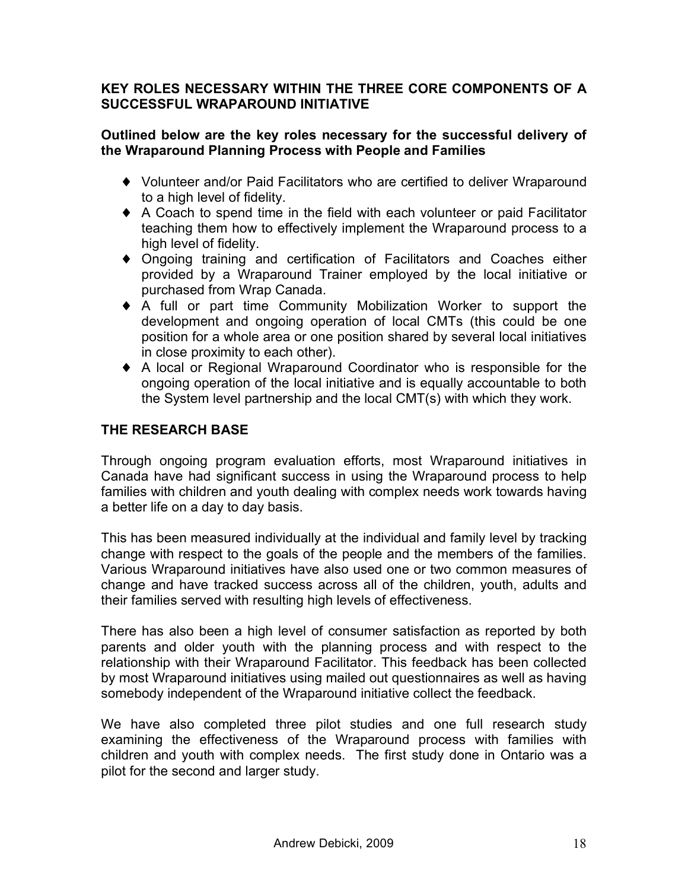### **KEY ROLES NECESSARY WITHIN THE THREE CORE COMPONENTS OF A SUCCESSFUL WRAPAROUND INITIATIVE**

### **Outlined below are the key roles necessary for the successful delivery of the Wraparound Planning Process with People and Families**

- ♦ Volunteer and/or Paid Facilitators who are certified to deliver Wraparound to a high level of fidelity.
- ♦ A Coach to spend time in the field with each volunteer or paid Facilitator teaching them how to effectively implement the Wraparound process to a high level of fidelity.
- ♦ Ongoing training and certification of Facilitators and Coaches either provided by a Wraparound Trainer employed by the local initiative or purchased from Wrap Canada.
- ♦ A full or part time Community Mobilization Worker to support the development and ongoing operation of local CMTs (this could be one position for a whole area or one position shared by several local initiatives in close proximity to each other).
- ♦ A local or Regional Wraparound Coordinator who is responsible for the ongoing operation of the local initiative and is equally accountable to both the System level partnership and the local CMT(s) with which they work.

# **THE RESEARCH BASE**

Through ongoing program evaluation efforts, most Wraparound initiatives in Canada have had significant success in using the Wraparound process to help families with children and youth dealing with complex needs work towards having a better life on a day to day basis.

This has been measured individually at the individual and family level by tracking change with respect to the goals of the people and the members of the families. Various Wraparound initiatives have also used one or two common measures of change and have tracked success across all of the children, youth, adults and their families served with resulting high levels of effectiveness.

There has also been a high level of consumer satisfaction as reported by both parents and older youth with the planning process and with respect to the relationship with their Wraparound Facilitator. This feedback has been collected by most Wraparound initiatives using mailed out questionnaires as well as having somebody independent of the Wraparound initiative collect the feedback.

We have also completed three pilot studies and one full research study examining the effectiveness of the Wraparound process with families with children and youth with complex needs. The first study done in Ontario was a pilot for the second and larger study.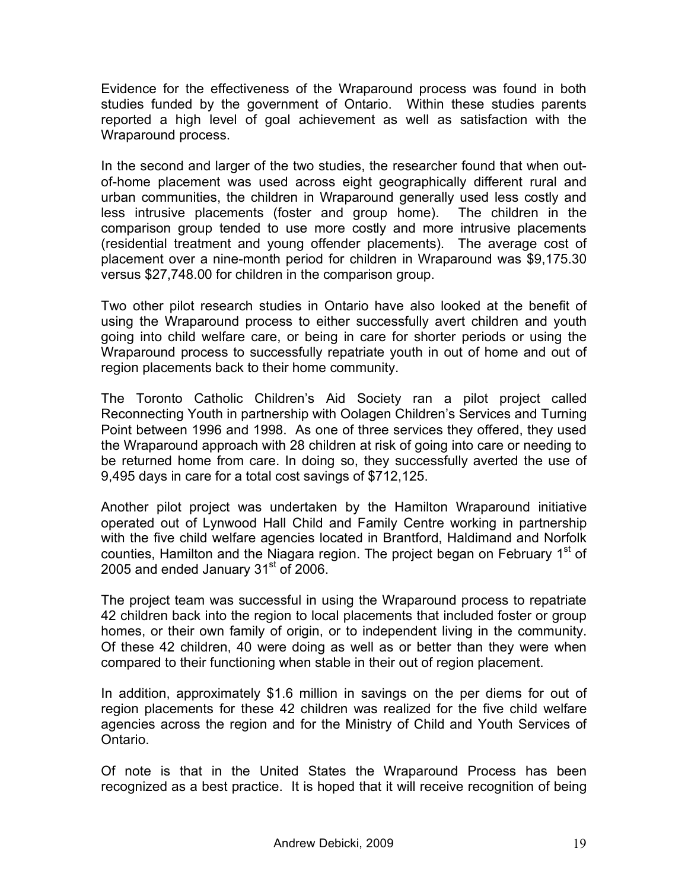Evidence for the effectiveness of the Wraparound process was found in both studies funded by the government of Ontario. Within these studies parents reported a high level of goal achievement as well as satisfaction with the Wraparound process.

In the second and larger of the two studies, the researcher found that when outof-home placement was used across eight geographically different rural and urban communities, the children in Wraparound generally used less costly and less intrusive placements (foster and group home). The children in the comparison group tended to use more costly and more intrusive placements (residential treatment and young offender placements). The average cost of placement over a nine-month period for children in Wraparound was \$9,175.30 versus \$27,748.00 for children in the comparison group.

Two other pilot research studies in Ontario have also looked at the benefit of using the Wraparound process to either successfully avert children and youth going into child welfare care, or being in care for shorter periods or using the Wraparound process to successfully repatriate youth in out of home and out of region placements back to their home community.

The Toronto Catholic Children's Aid Society ran a pilot project called Reconnecting Youth in partnership with Oolagen Children's Services and Turning Point between 1996 and 1998. As one of three services they offered, they used the Wraparound approach with 28 children at risk of going into care or needing to be returned home from care. In doing so, they successfully averted the use of 9,495 days in care for a total cost savings of \$712,125.

Another pilot project was undertaken by the Hamilton Wraparound initiative operated out of Lynwood Hall Child and Family Centre working in partnership with the five child welfare agencies located in Brantford, Haldimand and Norfolk counties, Hamilton and the Niagara region. The project began on February 1<sup>st</sup> of 2005 and ended January 31 $\mathrm{^{st}}$  of 2006.

The project team was successful in using the Wraparound process to repatriate 42 children back into the region to local placements that included foster or group homes, or their own family of origin, or to independent living in the community. Of these 42 children, 40 were doing as well as or better than they were when compared to their functioning when stable in their out of region placement.

In addition, approximately \$1.6 million in savings on the per diems for out of region placements for these 42 children was realized for the five child welfare agencies across the region and for the Ministry of Child and Youth Services of Ontario.

Of note is that in the United States the Wraparound Process has been recognized as a best practice. It is hoped that it will receive recognition of being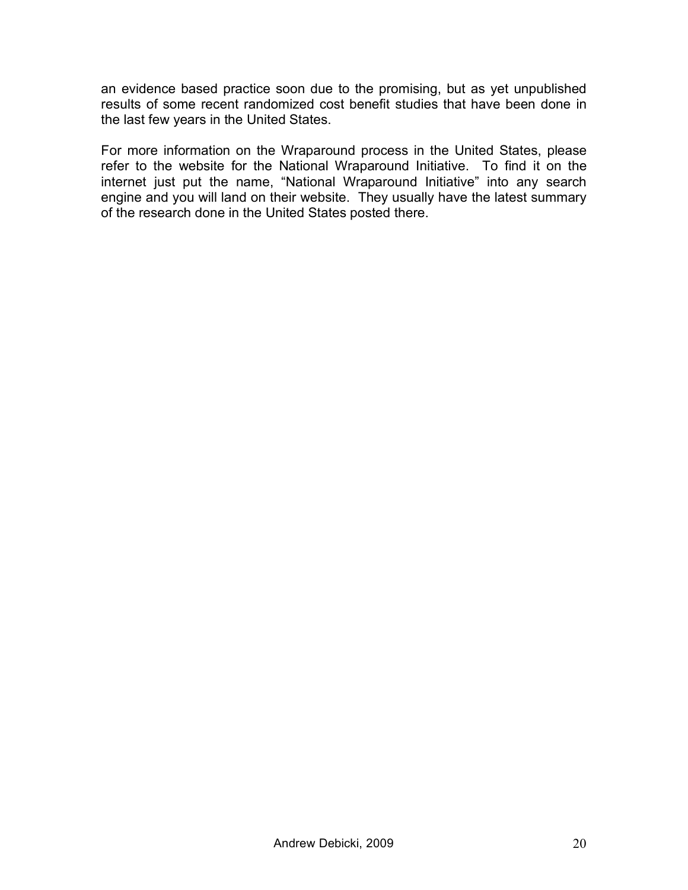an evidence based practice soon due to the promising, but as yet unpublished results of some recent randomized cost benefit studies that have been done in the last few years in the United States.

For more information on the Wraparound process in the United States, please refer to the website for the National Wraparound Initiative. To find it on the internet just put the name, "National Wraparound Initiative" into any search engine and you will land on their website. They usually have the latest summary of the research done in the United States posted there.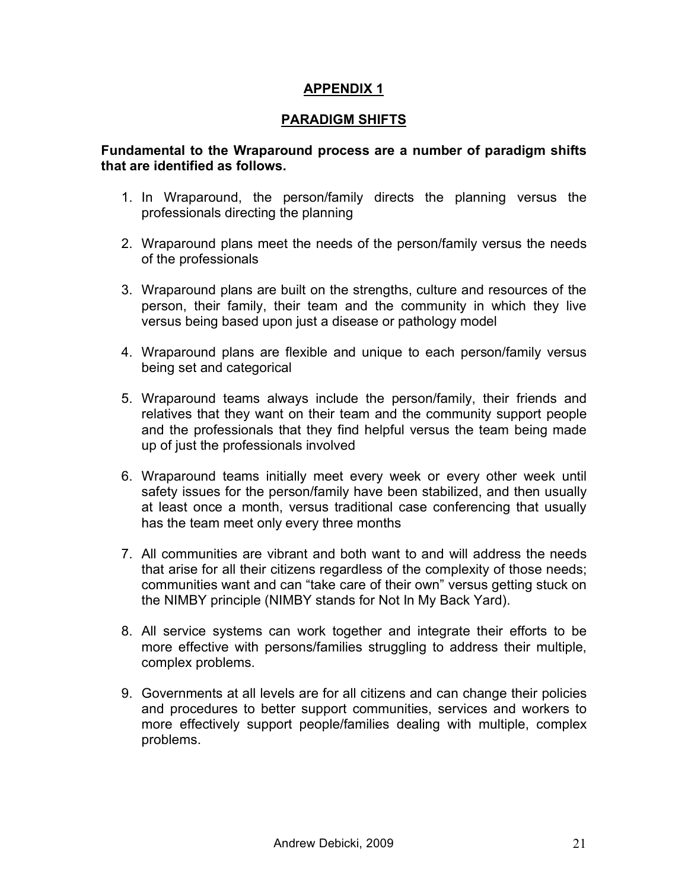### **APPENDIX 1**

### **PARADIGM SHIFTS**

### **Fundamental to the Wraparound process are a number of paradigm shifts that are identified as follows.**

- 1. In Wraparound, the person/family directs the planning versus the professionals directing the planning
- 2. Wraparound plans meet the needs of the person/family versus the needs of the professionals
- 3. Wraparound plans are built on the strengths, culture and resources of the person, their family, their team and the community in which they live versus being based upon just a disease or pathology model
- 4. Wraparound plans are flexible and unique to each person/family versus being set and categorical
- 5. Wraparound teams always include the person/family, their friends and relatives that they want on their team and the community support people and the professionals that they find helpful versus the team being made up of just the professionals involved
- 6. Wraparound teams initially meet every week or every other week until safety issues for the person/family have been stabilized, and then usually at least once a month, versus traditional case conferencing that usually has the team meet only every three months
- 7. All communities are vibrant and both want to and will address the needs that arise for all their citizens regardless of the complexity of those needs; communities want and can "take care of their own" versus getting stuck on the NIMBY principle (NIMBY stands for Not In My Back Yard).
- 8. All service systems can work together and integrate their efforts to be more effective with persons/families struggling to address their multiple, complex problems.
- 9. Governments at all levels are for all citizens and can change their policies and procedures to better support communities, services and workers to more effectively support people/families dealing with multiple, complex problems.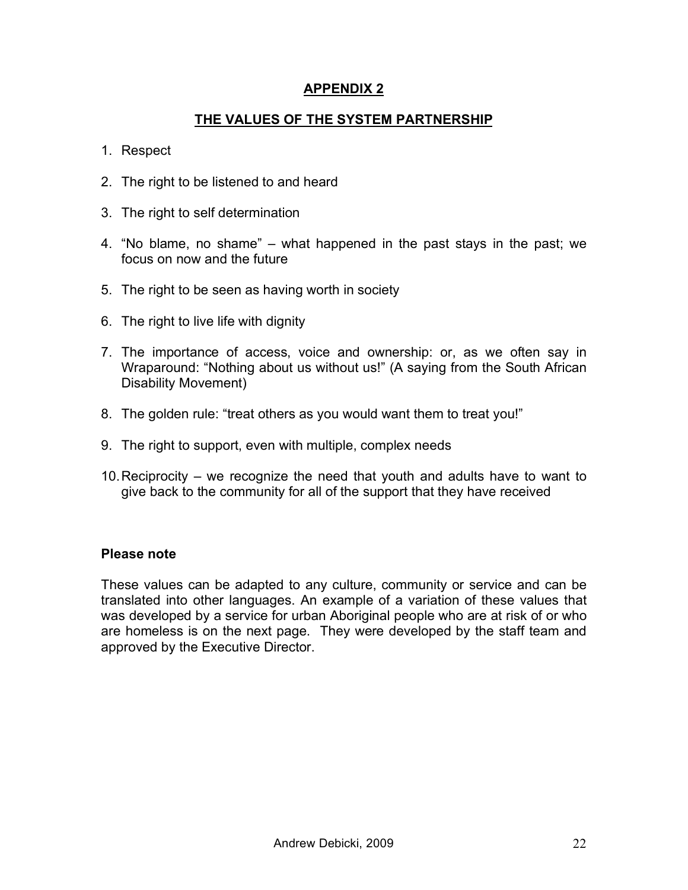### **APPENDIX 2**

# **THE VALUES OF THE SYSTEM PARTNERSHIP**

- 1. Respect
- 2. The right to be listened to and heard
- 3. The right to self determination
- 4. "No blame, no shame" what happened in the past stays in the past; we focus on now and the future
- 5. The right to be seen as having worth in society
- 6. The right to live life with dignity
- 7. The importance of access, voice and ownership: or, as we often say in Wraparound: "Nothing about us without us!" (A saying from the South African Disability Movement)
- 8. The golden rule: "treat others as you would want them to treat you!"
- 9. The right to support, even with multiple, complex needs
- 10.Reciprocity we recognize the need that youth and adults have to want to give back to the community for all of the support that they have received

#### **Please note**

These values can be adapted to any culture, community or service and can be translated into other languages. An example of a variation of these values that was developed by a service for urban Aboriginal people who are at risk of or who are homeless is on the next page. They were developed by the staff team and approved by the Executive Director.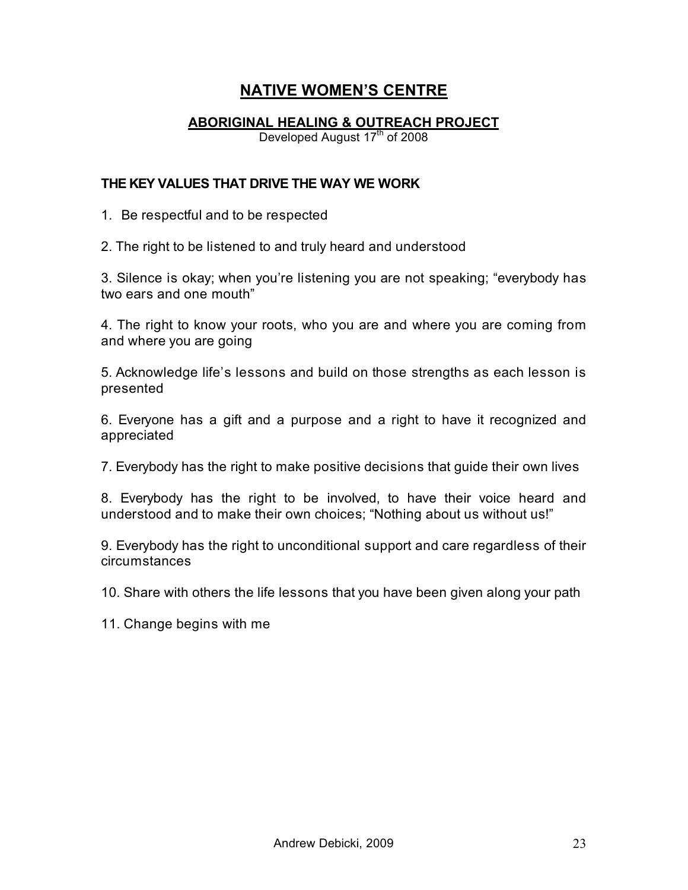# **NATIVE WOMEN'S CENTRE**

### **ABORIGINAL HEALING & OUTREACH PROJECT**

Developed August 17<sup>th</sup> of 2008

#### **THE KEY VALUES THAT DRIVE THE WAY WE WORK**

1. Be respectful and to be respected

2. The right to be listened to and truly heard and understood

3. Silence is okay; when you're listening you are not speaking; "everybody has two ears and one mouth"

4. The right to know your roots, who you are and where you are coming from and where you are going

5. Acknowledge life's lessons and build on those strengths as each lesson is presented

6. Everyone has a gift and a purpose and a right to have it recognized and appreciated

7. Everybody has the right to make positive decisions that guide their own lives

8. Everybody has the right to be involved, to have their voice heard and understood and to make their own choices; "Nothing about us without us!"

9. Everybody has the right to unconditional support and care regardless of their circumstances

10. Share with others the life lessons that you have been given along your path

11. Change begins with me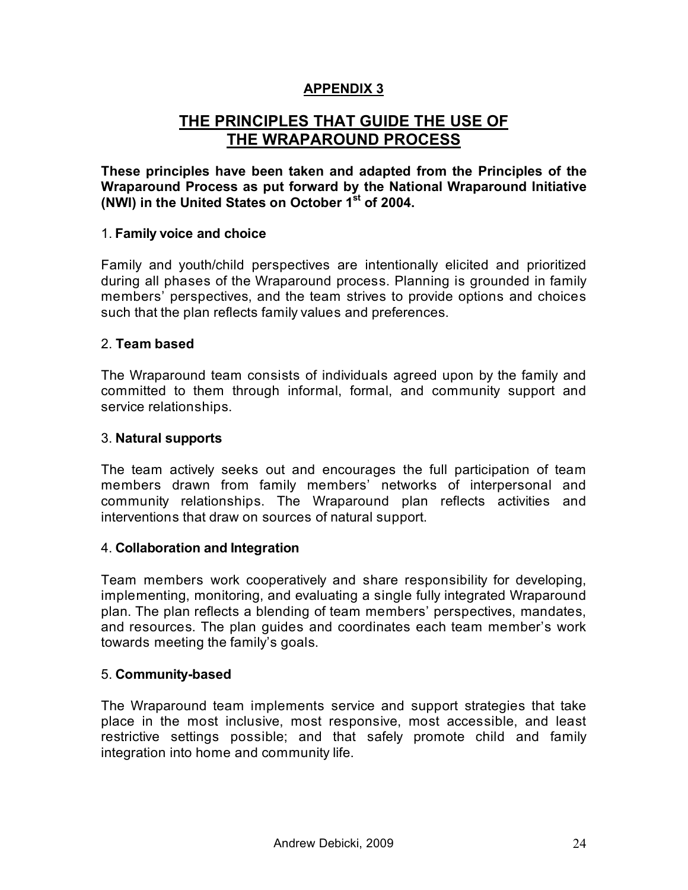# **APPENDIX 3**

# **THE PRINCIPLES THAT GUIDE THE USE OF THE WRAPAROUND PROCESS**

**These principles have been taken and adapted from the Principles of the Wraparound Process as put forward by the National Wraparound Initiative (NWI) in the United States on October 1st of 2004.**

### 1. **Family voice and choice**

Family and youth/child perspectives are intentionally elicited and prioritized during all phases of the Wraparound process. Planning is grounded in family members' perspectives, and the team strives to provide options and choices such that the plan reflects family values and preferences.

### 2. **Team based**

The Wraparound team consists of individuals agreed upon by the family and committed to them through informal, formal, and community support and service relationships.

### 3. **Natural supports**

The team actively seeks out and encourages the full participation of team members drawn from family members' networks of interpersonal and community relationships. The Wraparound plan reflects activities and interventions that draw on sources of natural support.

### 4. **Collaboration and Integration**

Team members work cooperatively and share responsibility for developing, implementing, monitoring, and evaluating a single fully integrated Wraparound plan. The plan reflects a blending of team members' perspectives, mandates, and resources. The plan guides and coordinates each team member's work towards meeting the family's goals.

### 5. **Community-based**

The Wraparound team implements service and support strategies that take place in the most inclusive, most responsive, most accessible, and least restrictive settings possible; and that safely promote child and family integration into home and community life.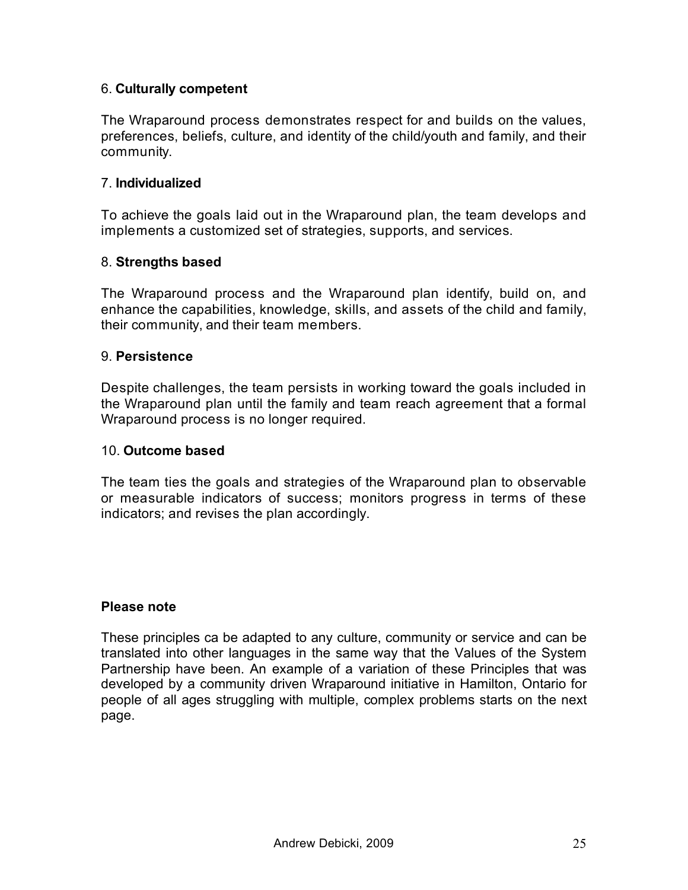### 6. **Culturally competent**

The Wraparound process demonstrates respect for and builds on the values, preferences, beliefs, culture, and identity of the child/youth and family, and their community.

### 7. **Individualized**

To achieve the goals laid out in the Wraparound plan, the team develops and implements a customized set of strategies, supports, and services.

#### 8. **Strengths based**

The Wraparound process and the Wraparound plan identify, build on, and enhance the capabilities, knowledge, skills, and assets of the child and family, their community, and their team members.

#### 9. **Persistence**

Despite challenges, the team persists in working toward the goals included in the Wraparound plan until the family and team reach agreement that a formal Wraparound process is no longer required.

#### 10. **Outcome based**

The team ties the goals and strategies of the Wraparound plan to observable or measurable indicators of success; monitors progress in terms of these indicators; and revises the plan accordingly.

#### **Please note**

These principles ca be adapted to any culture, community or service and can be translated into other languages in the same way that the Values of the System Partnership have been. An example of a variation of these Principles that was developed by a community driven Wraparound initiative in Hamilton, Ontario for people of all ages struggling with multiple, complex problems starts on the next page.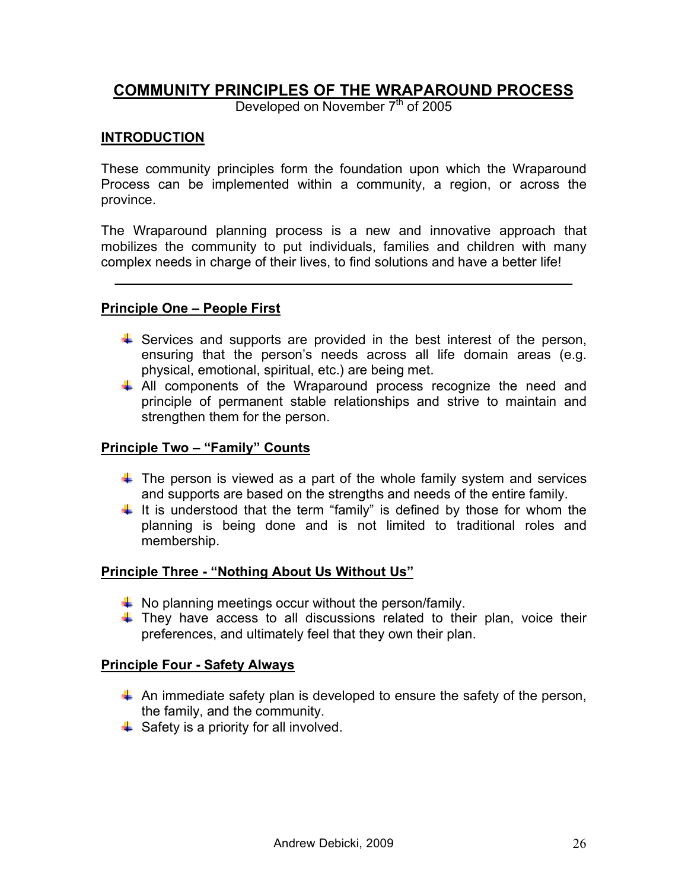# **COMMUNITY PRINCIPLES OF THE WRAPAROUND PROCESS**

Developed on November  $7<sup>th</sup>$  of 2005

### **INTRODUCTION**

These community principles form the foundation upon which the Wraparound Process can be implemented within a community, a region, or across the province.

The Wraparound planning process is a new and innovative approach that mobilizes the community to put individuals, families and children with many complex needs in charge of their lives, to find solutions and have a better life!

 $\mathcal{L}_\text{max} = \mathcal{L}_\text{max} = \mathcal{L}_\text{max} = \mathcal{L}_\text{max} = \mathcal{L}_\text{max} = \mathcal{L}_\text{max} = \mathcal{L}_\text{max} = \mathcal{L}_\text{max} = \mathcal{L}_\text{max} = \mathcal{L}_\text{max} = \mathcal{L}_\text{max} = \mathcal{L}_\text{max} = \mathcal{L}_\text{max} = \mathcal{L}_\text{max} = \mathcal{L}_\text{max} = \mathcal{L}_\text{max} = \mathcal{L}_\text{max} = \mathcal{L}_\text{max} = \mathcal{$ 

### **Principle One – People First**

- $\ddot{+}$  Services and supports are provided in the best interest of the person, ensuring that the person's needs across all life domain areas (e.g. physical, emotional, spiritual, etc.) are being met.
- All components of the Wraparound process recognize the need and principle of permanent stable relationships and strive to maintain and strengthen them for the person.

#### **Principle Two – "Family" Counts**

- $\ddot$  The person is viewed as a part of the whole family system and services and supports are based on the strengths and needs of the entire family.
- $\ddot$  It is understood that the term "family" is defined by those for whom the planning is being done and is not limited to traditional roles and membership.

### **Principle Three - "Nothing About Us Without Us"**

- $\downarrow$  No planning meetings occur without the person/family.
- $\ddot{+}$  They have access to all discussions related to their plan, voice their preferences, and ultimately feel that they own their plan.

#### **Principle Four - Safety Always**

- $\uparrow$  An immediate safety plan is developed to ensure the safety of the person, the family, and the community.
- $\triangleq$  Safety is a priority for all involved.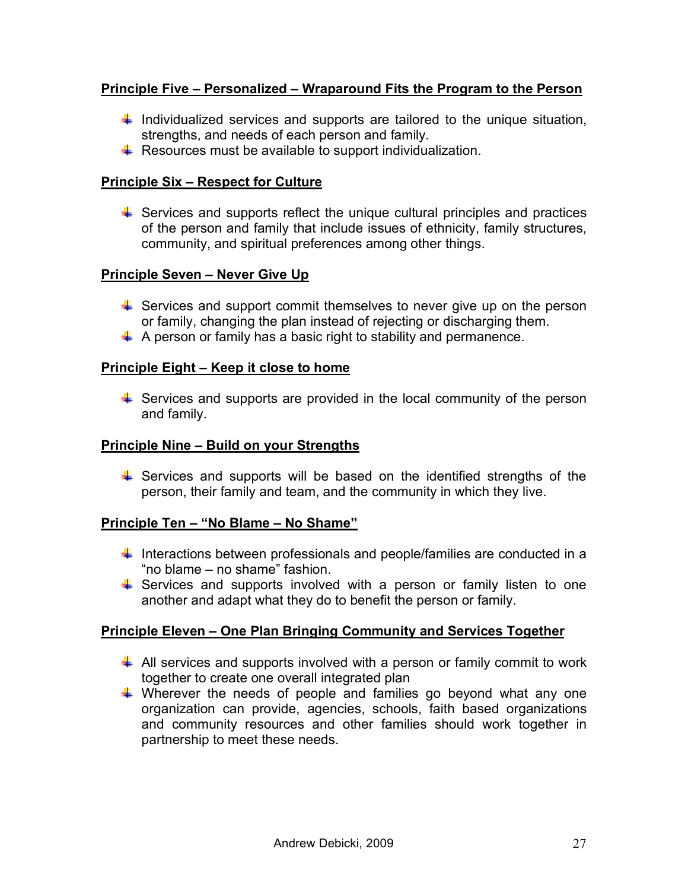### **Principle Five – Personalized – Wraparound Fits the Program to the Person**

- $\ddot$  Individualized services and supports are tailored to the unique situation, strengths, and needs of each person and family.
- $\overline{\phantom{a}}$  Resources must be available to support individualization.

### **Principle Six – Respect for Culture**

 $\ddot{\phantom{1}}$  Services and supports reflect the unique cultural principles and practices of the person and family that include issues of ethnicity, family structures, community, and spiritual preferences among other things.

### **Principle Seven – Never Give Up**

- $\ddot{\phantom{1}}$  Services and support commit themselves to never give up on the person or family, changing the plan instead of rejecting or discharging them.
- $\uparrow$  A person or family has a basic right to stability and permanence.

### **Principle Eight – Keep it close to home**

 $\ddot{+}$  Services and supports are provided in the local community of the person and family.

### **Principle Nine – Build on your Strengths**

 $\ddot{+}$  Services and supports will be based on the identified strengths of the person, their family and team, and the community in which they live.

### **Principle Ten – "No Blame – No Shame"**

- $\ddot{\phantom{1}}$  Interactions between professionals and people/families are conducted in a "no blame – no shame" fashion.
- $\ddot$  Services and supports involved with a person or family listen to one another and adapt what they do to benefit the person or family.

### **Principle Eleven – One Plan Bringing Community and Services Together**

- $\downarrow$  All services and supports involved with a person or family commit to work together to create one overall integrated plan
- $\ddot$  Wherever the needs of people and families go beyond what any one organization can provide, agencies, schools, faith based organizations and community resources and other families should work together in partnership to meet these needs.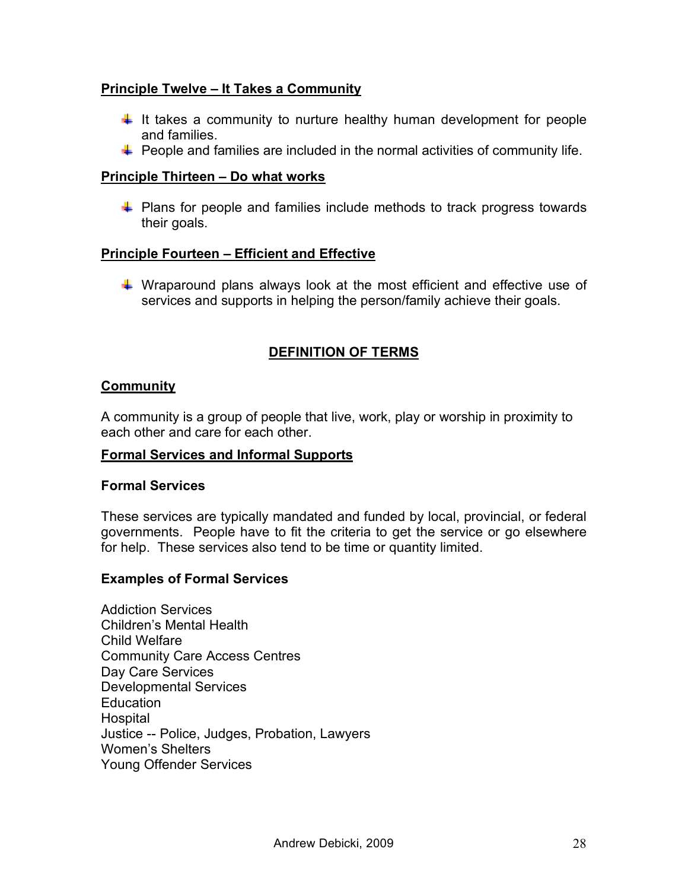### **Principle Twelve – It Takes a Community**

- $\ddag$  It takes a community to nurture healthy human development for people and families.
- $\ddot{+}$  People and families are included in the normal activities of community life.

### **Principle Thirteen – Do what works**

 $\ddot{\phantom{1}}$  Plans for people and families include methods to track progress towards their goals.

### **Principle Fourteen – Efficient and Effective**

 $\ddot{+}$  Wraparound plans always look at the most efficient and effective use of services and supports in helping the person/family achieve their goals.

# **DEFINITION OF TERMS**

### **Community**

A community is a group of people that live, work, play or worship in proximity to each other and care for each other.

### **Formal Services and Informal Supports**

#### **Formal Services**

These services are typically mandated and funded by local, provincial, or federal governments. People have to fit the criteria to get the service or go elsewhere for help. These services also tend to be time or quantity limited.

### **Examples of Formal Services**

Addiction Services Children's Mental Health Child Welfare Community Care Access Centres Day Care Services Developmental Services **Education** Hospital Justice -- Police, Judges, Probation, Lawyers Women's Shelters Young Offender Services